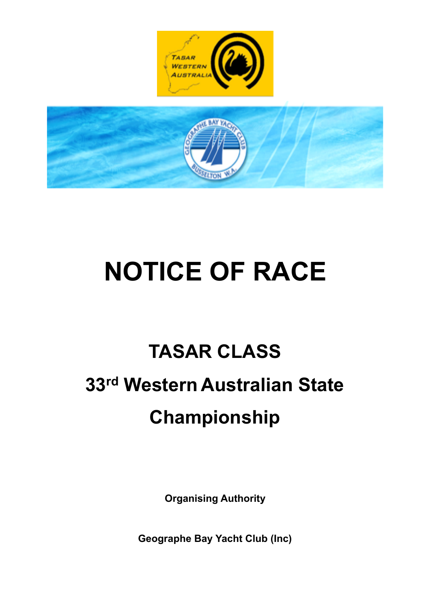

# **NOTICE OF RACE**

## **TASAR CLASS 33rd Western Australian State Championship**

**Organising Authority** 

**Geographe Bay Yacht Club (Inc)**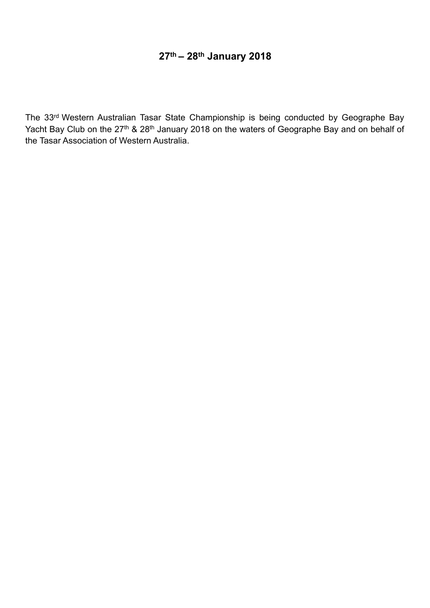### **27th – 28th January 2018**

The 33rd Western Australian Tasar State Championship is being conducted by Geographe Bay Yacht Bay Club on the 27<sup>th</sup> & 28<sup>th</sup> January 2018 on the waters of Geographe Bay and on behalf of the Tasar Association of Western Australia.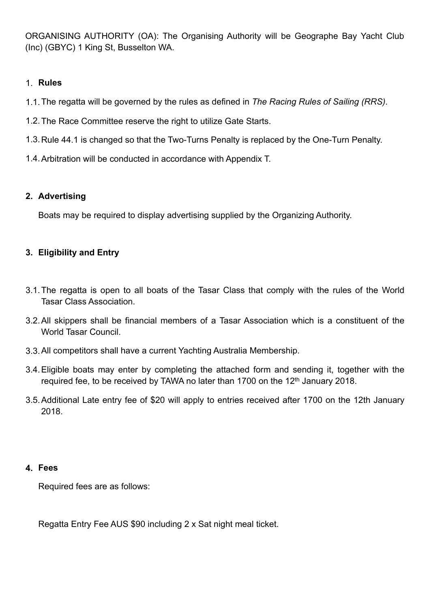ORGANISING AUTHORITY (OA): The Organising Authority will be Geographe Bay Yacht Club (Inc) (GBYC) 1 King St, Busselton WA.

#### 1. **Rules**

- 1.1.The regatta will be governed by the rules as defined in *The Racing Rules of Sailing (RRS)*.
- 1.2.The Race Committee reserve the right to utilize Gate Starts.
- 1.3.Rule 44.1 is changed so that the Two-Turns Penalty is replaced by the One-Turn Penalty.
- 1.4.Arbitration will be conducted in accordance with Appendix T.

#### **2. Advertising**

Boats may be required to display advertising supplied by the Organizing Authority.

#### **3. Eligibility and Entry**

- 3.1.The regatta is open to all boats of the Tasar Class that comply with the rules of the World Tasar Class Association.
- 3.2.All skippers shall be financial members of a Tasar Association which is a constituent of the World Tasar Council.
- 3.3.All competitors shall have a current Yachting Australia Membership.
- 3.4.Eligible boats may enter by completing the attached form and sending it, together with the required fee, to be received by TAWA no later than 1700 on the 12<sup>th</sup> January 2018.
- 3.5.Additional Late entry fee of \$20 will apply to entries received after 1700 on the 12th January 2018.

#### **4. Fees**

Required fees are as follows:

Regatta Entry Fee AUS \$90 including 2 x Sat night meal ticket.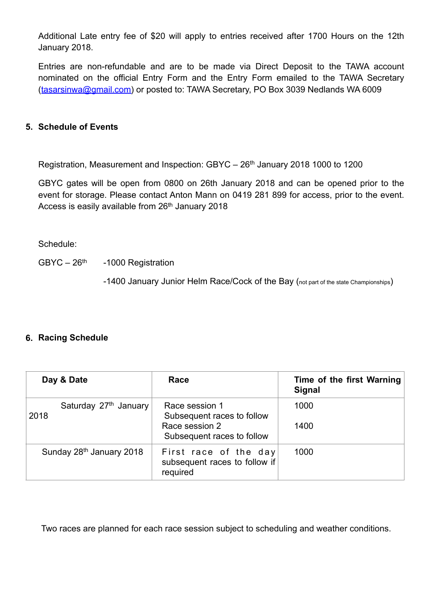Additional Late entry fee of \$20 will apply to entries received after 1700 Hours on the 12th January 2018.

Entries are non-refundable and are to be made via Direct Deposit to the TAWA account nominated on the official Entry Form and the Entry Form emailed to the TAWA Secretary ([tasarsinwa@gmail.com\)](mailto:tasarsinwa@gmail.com) or posted to: TAWA Secretary, PO Box 3039 Nedlands WA 6009

#### **5. Schedule of Events**

Registration, Measurement and Inspection: GBYC – 26<sup>th</sup> January 2018 1000 to 1200

GBYC gates will be open from 0800 on 26th January 2018 and can be opened prior to the event for storage. Please contact Anton Mann on 0419 281 899 for access, prior to the event. Access is easily available from 26<sup>th</sup> January 2018

Schedule:

 $GBYC - 26<sup>th</sup> -1000$  Registration

-1400 January Junior Helm Race/Cock of the Bay (not part of the state Championships)

#### **6. Racing Schedule**

| Day & Date                    | Race                                                                                         | Time of the first Warning<br><b>Signal</b> |
|-------------------------------|----------------------------------------------------------------------------------------------|--------------------------------------------|
| Saturday 27th January<br>2018 | Race session 1<br>Subsequent races to follow<br>Race session 2<br>Subsequent races to follow | 1000<br>1400                               |
| Sunday 28th January 2018      | First race of the day<br>subsequent races to follow if<br>required                           | 1000                                       |

Two races are planned for each race session subject to scheduling and weather conditions.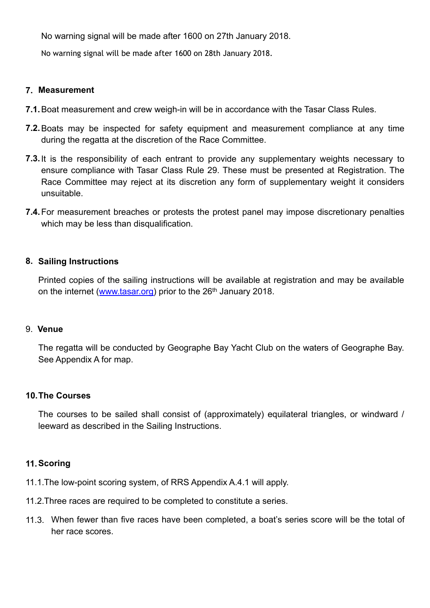No warning signal will be made after 1600 on 27th January 2018.

No warning signal will be made after 1600 on 28th January 2018.

#### **7. Measurement**

- **7.1.**Boat measurement and crew weigh-in will be in accordance with the Tasar Class Rules.
- **7.2.**Boats may be inspected for safety equipment and measurement compliance at any time during the regatta at the discretion of the Race Committee.
- **7.3.**It is the responsibility of each entrant to provide any supplementary weights necessary to ensure compliance with Tasar Class Rule 29. These must be presented at Registration. The Race Committee may reject at its discretion any form of supplementary weight it considers unsuitable.
- **7.4.**For measurement breaches or protests the protest panel may impose discretionary penalties which may be less than disqualification.

#### **8. Sailing Instructions**

Printed copies of the sailing instructions will be available at registration and may be available on the internet ([www.tasar.org\)](http://www.tasar.org) prior to the 26<sup>th</sup> January 2018.

#### 9. **Venue**

The regatta will be conducted by Geographe Bay Yacht Club on the waters of Geographe Bay. See Appendix A for map.

#### **10.The Courses**

The courses to be sailed shall consist of (approximately) equilateral triangles, or windward / leeward as described in the Sailing Instructions.

#### **11.Scoring**

- 11.1.The low-point scoring system, of RRS Appendix A.4.1 will apply.
- 11.2.Three races are required to be completed to constitute a series.
- 11.3. When fewer than five races have been completed, a boat's series score will be the total of her race scores.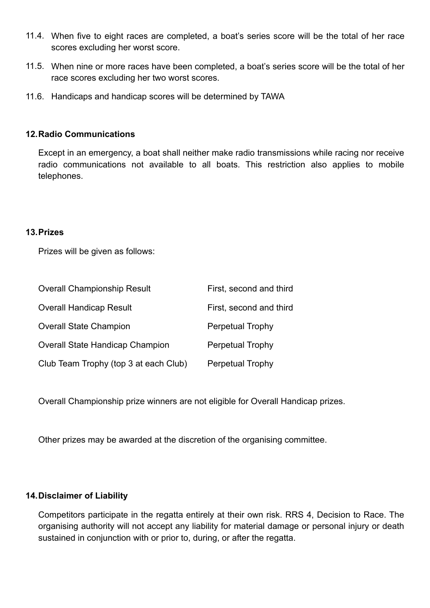- 11.4. When five to eight races are completed, a boat's series score will be the total of her race scores excluding her worst score.
- 11.5. When nine or more races have been completed, a boat's series score will be the total of her race scores excluding her two worst scores.
- 11.6. Handicaps and handicap scores will be determined by TAWA

#### **12.Radio Communications**

Except in an emergency, a boat shall neither make radio transmissions while racing nor receive radio communications not available to all boats. This restriction also applies to mobile telephones.

#### **13.Prizes**

Prizes will be given as follows:

| <b>Overall Championship Result</b>     | First, second and third |
|----------------------------------------|-------------------------|
| <b>Overall Handicap Result</b>         | First, second and third |
| <b>Overall State Champion</b>          | Perpetual Trophy        |
| <b>Overall State Handicap Champion</b> | <b>Perpetual Trophy</b> |
| Club Team Trophy (top 3 at each Club)  | Perpetual Trophy        |

Overall Championship prize winners are not eligible for Overall Handicap prizes.

Other prizes may be awarded at the discretion of the organising committee.

#### **14.Disclaimer of Liability**

Competitors participate in the regatta entirely at their own risk. RRS 4, Decision to Race. The organising authority will not accept any liability for material damage or personal injury or death sustained in conjunction with or prior to, during, or after the regatta.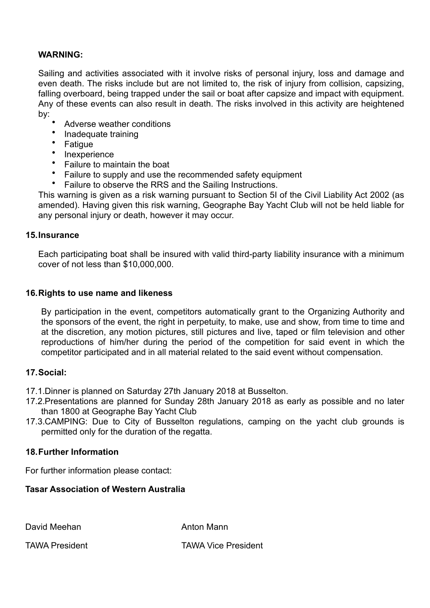#### **WARNING:**

Sailing and activities associated with it involve risks of personal injury, loss and damage and even death. The risks include but are not limited to, the risk of injury from collision, capsizing, falling overboard, being trapped under the sail or boat after capsize and impact with equipment. Any of these events can also result in death. The risks involved in this activity are heightened by:

- Adverse weather conditions
- Inadequate training
- Fatigue
- Inexperience
- Failure to maintain the boat
- Failure to supply and use the recommended safety equipment
- Failure to observe the RRS and the Sailing Instructions.

This warning is given as a risk warning pursuant to Section 5I of the Civil Liability Act 2002 (as amended). Having given this risk warning, Geographe Bay Yacht Club will not be held liable for any personal injury or death, however it may occur.

#### **15.Insurance**

Each participating boat shall be insured with valid third-party liability insurance with a minimum cover of not less than \$10,000,000.

#### **16.Rights to use name and likeness**

By participation in the event, competitors automatically grant to the Organizing Authority and the sponsors of the event, the right in perpetuity, to make, use and show, from time to time and at the discretion, any motion pictures, still pictures and live, taped or film television and other reproductions of him/her during the period of the competition for said event in which the competitor participated and in all material related to the said event without compensation.

#### **17.Social:**

- 17.1.Dinner is planned on Saturday 27th January 2018 at Busselton.
- 17.2.Presentations are planned for Sunday 28th January 2018 as early as possible and no later than 1800 at Geographe Bay Yacht Club
- 17.3.CAMPING: Due to City of Busselton regulations, camping on the yacht club grounds is permitted only for the duration of the regatta.

#### **18.Further Information**

For further information please contact:

#### **Tasar Association of Western Australia**

David Meehan Anton Mann

TAWA President TAWA Vice President